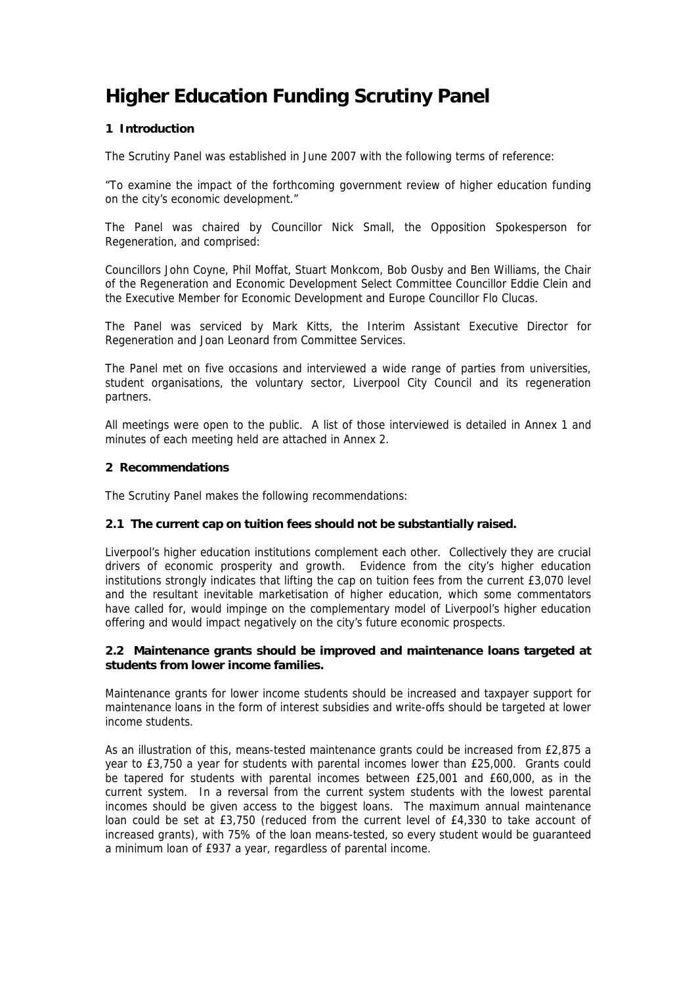# **Higher Education Funding Scrutiny Panel**

# **1 Introduction**

The Scrutiny Panel was established in June 2007 with the following terms of reference:

"To examine the impact of the forthcoming government review of higher education funding on the city's economic development."

The Panel was chaired by Councillor Nick Small, the Opposition Spokesperson for Regeneration, and comprised:

Councillors John Coyne, Phil Moffat, Stuart Monkcom, Bob Ousby and Ben Williams, the Chair of the Regeneration and Economic Development Select Committee Councillor Eddie Clein and the Executive Member for Economic Development and Europe Councillor Flo Clucas.

The Panel was serviced by Mark Kitts, the Interim Assistant Executive Director for Regeneration and Joan Leonard from Committee Services.

The Panel met on five occasions and interviewed a wide range of parties from universities, student organisations, the voluntary sector, Liverpool City Council and its regeneration partners.

All meetings were open to the public. A list of those interviewed is detailed in Annex 1 and minutes of each meeting held are attached in Annex 2.

#### **2 Recommendations**

The Scrutiny Panel makes the following recommendations:

## **2.1 The current cap on tuition fees should not be substantially raised.**

Liverpool's higher education institutions complement each other. Collectively they are crucial drivers of economic prosperity and growth. Evidence from the city's higher education institutions strongly indicates that lifting the cap on tuition fees from the current £3,070 level and the resultant inevitable marketisation of higher education, which some commentators have called for, would impinge on the complementary model of Liverpool's higher education offering and would impact negatively on the city's future economic prospects.

#### **2.2 Maintenance grants should be improved and maintenance loans targeted at students from lower income families.**

Maintenance grants for lower income students should be increased and taxpayer support for maintenance loans in the form of interest subsidies and write-offs should be targeted at lower income students.

As an illustration of this, means-tested maintenance grants could be increased from £2,875 a year to £3,750 a year for students with parental incomes lower than £25,000. Grants could be tapered for students with parental incomes between £25,001 and £60,000, as in the current system. In a reversal from the current system students with the lowest parental incomes should be given access to the biggest loans. The maximum annual maintenance loan could be set at £3,750 (reduced from the current level of £4,330 to take account of increased grants), with 75% of the loan means-tested, so every student would be guaranteed a minimum loan of £937 a year, regardless of parental income.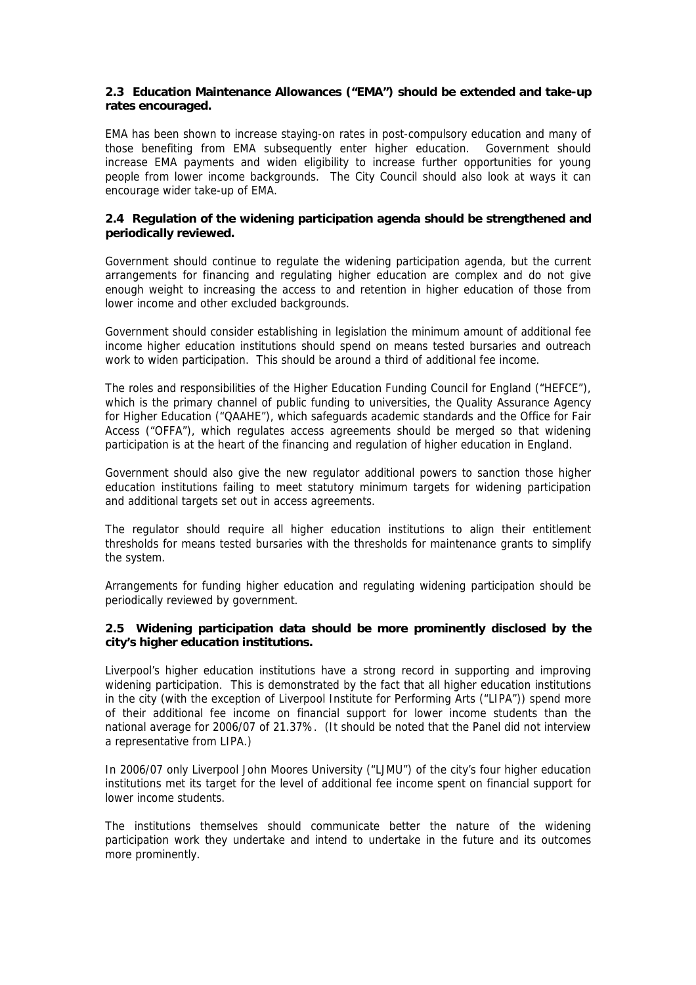#### **2.3 Education Maintenance Allowances ("EMA") should be extended and take-up rates encouraged.**

EMA has been shown to increase staying-on rates in post-compulsory education and many of those benefiting from EMA subsequently enter higher education. Government should increase EMA payments and widen eligibility to increase further opportunities for young people from lower income backgrounds. The City Council should also look at ways it can encourage wider take-up of EMA.

#### **2.4 Regulation of the widening participation agenda should be strengthened and periodically reviewed.**

Government should continue to regulate the widening participation agenda, but the current arrangements for financing and regulating higher education are complex and do not give enough weight to increasing the access to and retention in higher education of those from lower income and other excluded backgrounds.

Government should consider establishing in legislation the minimum amount of additional fee income higher education institutions should spend on means tested bursaries and outreach work to widen participation. This should be around a third of additional fee income.

The roles and responsibilities of the Higher Education Funding Council for England ("HEFCE"), which is the primary channel of public funding to universities, the Quality Assurance Agency for Higher Education ("QAAHE"), which safeguards academic standards and the Office for Fair Access ("OFFA"), which regulates access agreements should be merged so that widening participation is at the heart of the financing and regulation of higher education in England.

Government should also give the new regulator additional powers to sanction those higher education institutions failing to meet statutory minimum targets for widening participation and additional targets set out in access agreements.

The regulator should require all higher education institutions to align their entitlement thresholds for means tested bursaries with the thresholds for maintenance grants to simplify the system.

Arrangements for funding higher education and regulating widening participation should be periodically reviewed by government.

#### **2.5 Widening participation data should be more prominently disclosed by the city's higher education institutions.**

Liverpool's higher education institutions have a strong record in supporting and improving widening participation. This is demonstrated by the fact that all higher education institutions in the city (with the exception of Liverpool Institute for Performing Arts ("LIPA")) spend more of their additional fee income on financial support for lower income students than the national average for 2006/07 of 21.37%. (It should be noted that the Panel did not interview a representative from LIPA.)

In 2006/07 only Liverpool John Moores University ("LJMU") of the city's four higher education institutions met its target for the level of additional fee income spent on financial support for lower income students.

The institutions themselves should communicate better the nature of the widening participation work they undertake and intend to undertake in the future and its outcomes more prominently.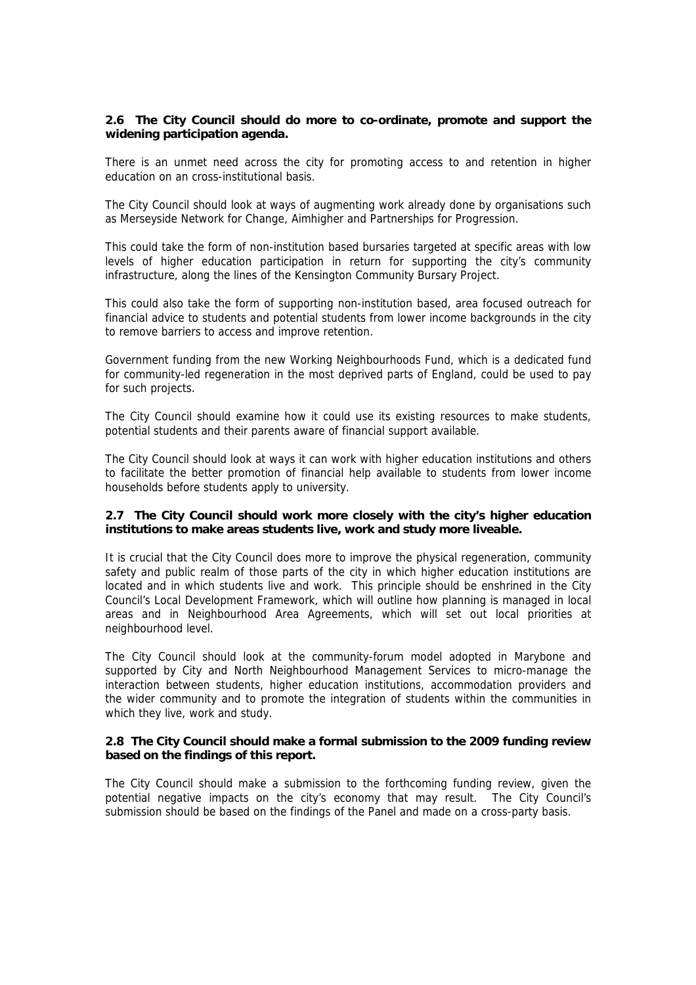#### **2.6 The City Council should do more to co-ordinate, promote and support the widening participation agenda.**

There is an unmet need across the city for promoting access to and retention in higher education on an cross-institutional basis.

The City Council should look at ways of augmenting work already done by organisations such as Merseyside Network for Change, Aimhigher and Partnerships for Progression.

This could take the form of non-institution based bursaries targeted at specific areas with low levels of higher education participation in return for supporting the city's community infrastructure, along the lines of the Kensington Community Bursary Project.

This could also take the form of supporting non-institution based, area focused outreach for financial advice to students and potential students from lower income backgrounds in the city to remove barriers to access and improve retention.

Government funding from the new Working Neighbourhoods Fund, which is a dedicated fund for community-led regeneration in the most deprived parts of England, could be used to pay for such projects.

The City Council should examine how it could use its existing resources to make students, potential students and their parents aware of financial support available.

The City Council should look at ways it can work with higher education institutions and others to facilitate the better promotion of financial help available to students from lower income households before students apply to university.

#### **2.7 The City Council should work more closely with the city's higher education institutions to make areas students live, work and study more liveable.**

It is crucial that the City Council does more to improve the physical regeneration, community safety and public realm of those parts of the city in which higher education institutions are located and in which students live and work. This principle should be enshrined in the City Council's Local Development Framework, which will outline how planning is managed in local areas and in Neighbourhood Area Agreements, which will set out local priorities at neighbourhood level.

The City Council should look at the community-forum model adopted in Marybone and supported by City and North Neighbourhood Management Services to micro-manage the interaction between students, higher education institutions, accommodation providers and the wider community and to promote the integration of students within the communities in which they live, work and study.

#### **2.8 The City Council should make a formal submission to the 2009 funding review based on the findings of this report.**

The City Council should make a submission to the forthcoming funding review, given the potential negative impacts on the city's economy that may result. The City Council's submission should be based on the findings of the Panel and made on a cross-party basis.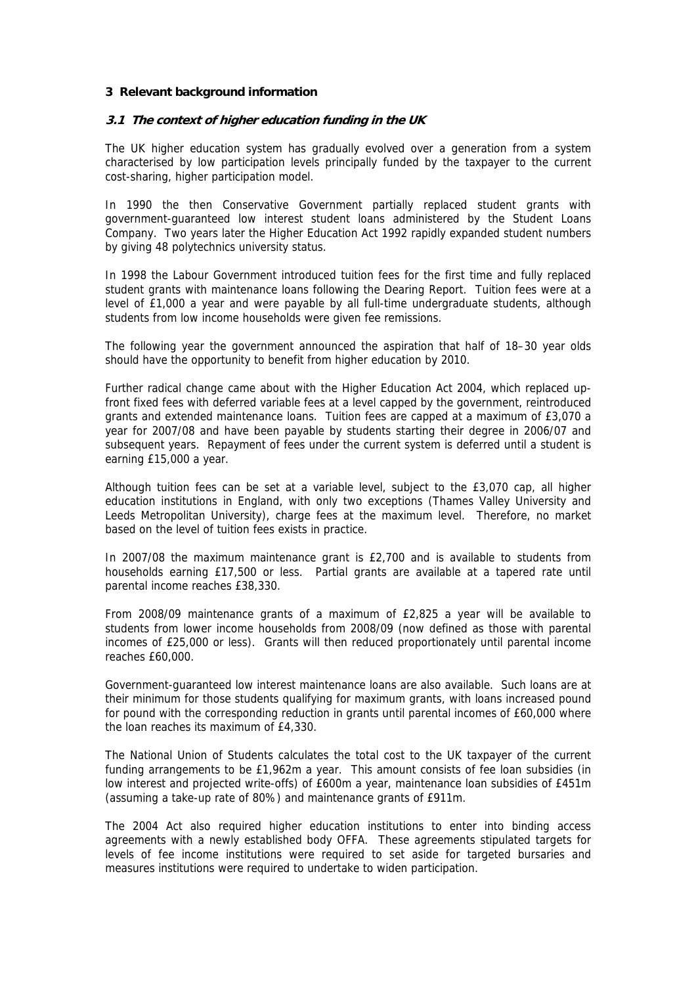#### **3 Relevant background information**

#### **3.1 The context of higher education funding in the UK**

The UK higher education system has gradually evolved over a generation from a system characterised by low participation levels principally funded by the taxpayer to the current cost-sharing, higher participation model.

In 1990 the then Conservative Government partially replaced student grants with government-guaranteed low interest student loans administered by the Student Loans Company. Two years later the Higher Education Act 1992 rapidly expanded student numbers by giving 48 polytechnics university status.

In 1998 the Labour Government introduced tuition fees for the first time and fully replaced student grants with maintenance loans following the Dearing Report. Tuition fees were at a level of £1,000 a year and were payable by all full-time undergraduate students, although students from low income households were given fee remissions.

The following year the government announced the aspiration that half of 18–30 year olds should have the opportunity to benefit from higher education by 2010.

Further radical change came about with the Higher Education Act 2004, which replaced upfront fixed fees with deferred variable fees at a level capped by the government, reintroduced grants and extended maintenance loans. Tuition fees are capped at a maximum of £3,070 a year for 2007/08 and have been payable by students starting their degree in 2006/07 and subsequent years. Repayment of fees under the current system is deferred until a student is earning £15,000 a year.

Although tuition fees can be set at a variable level, subject to the £3,070 cap, all higher education institutions in England, with only two exceptions (Thames Valley University and Leeds Metropolitan University), charge fees at the maximum level. Therefore, no market based on the level of tuition fees exists in practice.

In 2007/08 the maximum maintenance grant is £2,700 and is available to students from households earning £17,500 or less. Partial grants are available at a tapered rate until parental income reaches £38,330.

From 2008/09 maintenance grants of a maximum of £2,825 a year will be available to students from lower income households from 2008/09 (now defined as those with parental incomes of £25,000 or less). Grants will then reduced proportionately until parental income reaches £60,000.

Government-guaranteed low interest maintenance loans are also available. Such loans are at their minimum for those students qualifying for maximum grants, with loans increased pound for pound with the corresponding reduction in grants until parental incomes of £60,000 where the loan reaches its maximum of £4,330.

The National Union of Students calculates the total cost to the UK taxpayer of the current funding arrangements to be £1,962m a year. This amount consists of fee loan subsidies (in low interest and projected write-offs) of £600m a year, maintenance loan subsidies of £451m (assuming a take-up rate of 80%) and maintenance grants of £911m.

The 2004 Act also required higher education institutions to enter into binding access agreements with a newly established body OFFA. These agreements stipulated targets for levels of fee income institutions were required to set aside for targeted bursaries and measures institutions were required to undertake to widen participation.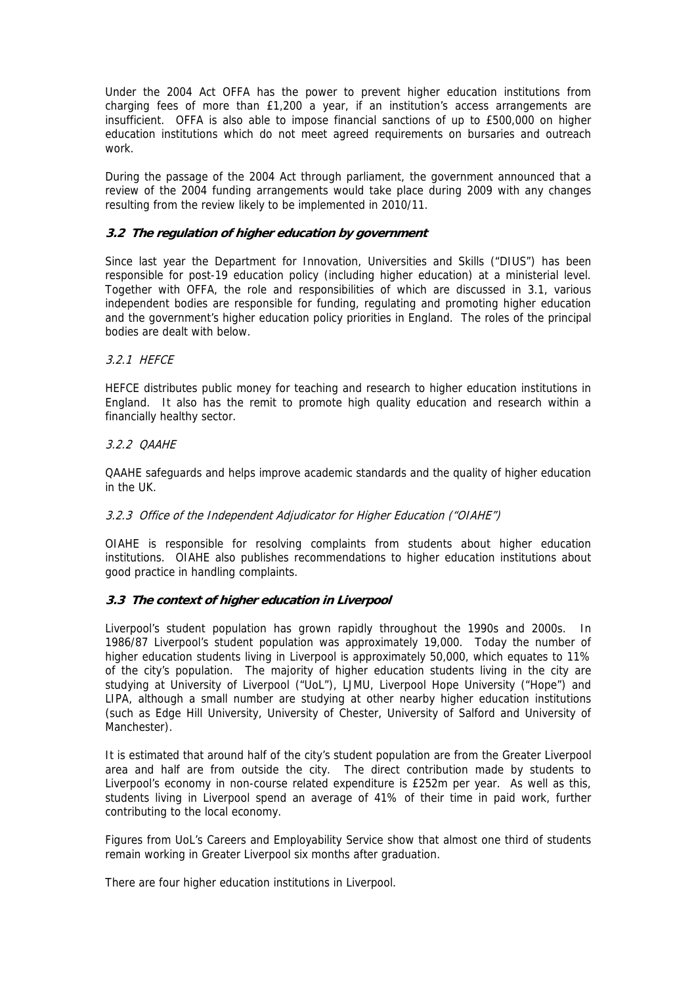Under the 2004 Act OFFA has the power to prevent higher education institutions from charging fees of more than £1,200 a year, if an institution's access arrangements are insufficient. OFFA is also able to impose financial sanctions of up to £500,000 on higher education institutions which do not meet agreed requirements on bursaries and outreach work.

During the passage of the 2004 Act through parliament, the government announced that a review of the 2004 funding arrangements would take place during 2009 with any changes resulting from the review likely to be implemented in 2010/11.

## **3.2 The regulation of higher education by government**

Since last year the Department for Innovation, Universities and Skills ("DIUS") has been responsible for post-19 education policy (including higher education) at a ministerial level. Together with OFFA, the role and responsibilities of which are discussed in 3.1, various independent bodies are responsible for funding, regulating and promoting higher education and the government's higher education policy priorities in England. The roles of the principal bodies are dealt with below.

# 3.2.1 HEFCE

HEFCE distributes public money for teaching and research to higher education institutions in England. It also has the remit to promote high quality education and research within a financially healthy sector.

# 3.2.2 QAAHE

QAAHE safeguards and helps improve academic standards and the quality of higher education in the UK.

## 3.2.3 Office of the Independent Adjudicator for Higher Education ("OIAHE")

OIAHE is responsible for resolving complaints from students about higher education institutions. OIAHE also publishes recommendations to higher education institutions about good practice in handling complaints.

## **3.3 The context of higher education in Liverpool**

Liverpool's student population has grown rapidly throughout the 1990s and 2000s. In 1986/87 Liverpool's student population was approximately 19,000. Today the number of higher education students living in Liverpool is approximately 50,000, which equates to 11% of the city's population. The majority of higher education students living in the city are studying at University of Liverpool ("UoL"), LJMU, Liverpool Hope University ("Hope") and LIPA, although a small number are studying at other nearby higher education institutions (such as Edge Hill University, University of Chester, University of Salford and University of Manchester).

It is estimated that around half of the city's student population are from the Greater Liverpool area and half are from outside the city. The direct contribution made by students to Liverpool's economy in non-course related expenditure is £252m per year. As well as this, students living in Liverpool spend an average of 41% of their time in paid work, further contributing to the local economy.

Figures from UoL's Careers and Employability Service show that almost one third of students remain working in Greater Liverpool six months after graduation.

There are four higher education institutions in Liverpool.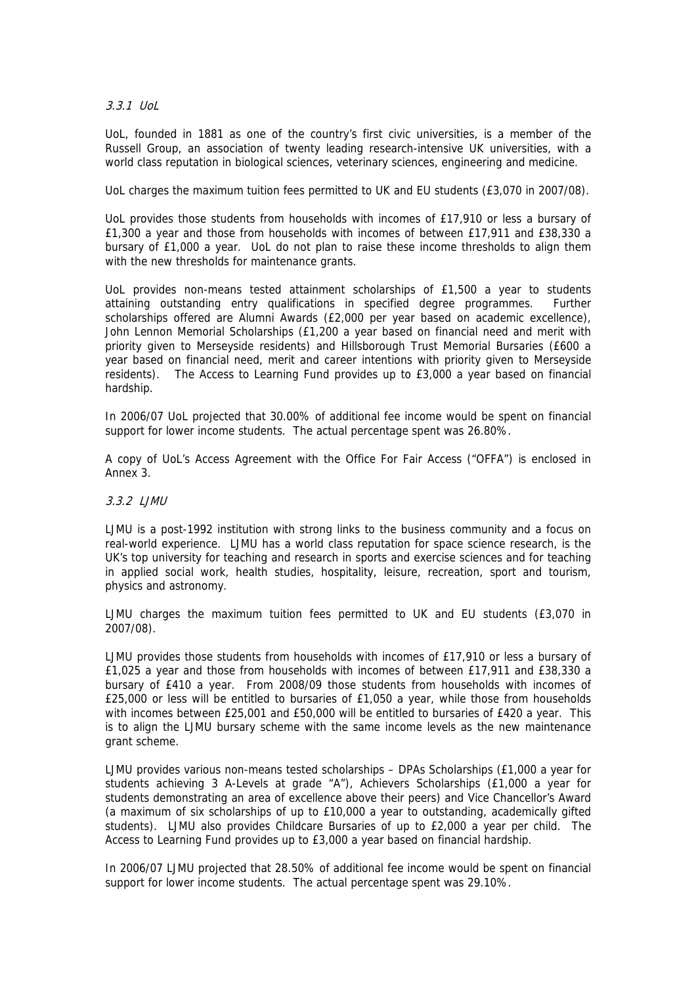3.3.1 UoL

UoL, founded in 1881 as one of the country's first civic universities, is a member of the Russell Group, an association of twenty leading research-intensive UK universities, with a world class reputation in biological sciences, veterinary sciences, engineering and medicine.

UoL charges the maximum tuition fees permitted to UK and EU students (£3,070 in 2007/08).

UoL provides those students from households with incomes of £17,910 or less a bursary of £1,300 a year and those from households with incomes of between £17,911 and £38,330 a bursary of £1,000 a year. UoL do not plan to raise these income thresholds to align them with the new thresholds for maintenance grants.

UoL provides non-means tested attainment scholarships of £1,500 a year to students attaining outstanding entry qualifications in specified degree programmes. Further scholarships offered are Alumni Awards (£2,000 per year based on academic excellence), John Lennon Memorial Scholarships (£1,200 a year based on financial need and merit with priority given to Merseyside residents) and Hillsborough Trust Memorial Bursaries (£600 a year based on financial need, merit and career intentions with priority given to Merseyside residents). The Access to Learning Fund provides up to £3,000 a year based on financial hardship.

In 2006/07 UoL projected that 30.00% of additional fee income would be spent on financial support for lower income students. The actual percentage spent was 26.80%.

A copy of UoL's Access Agreement with the Office For Fair Access ("OFFA") is enclosed in Annex 3.

#### 3.3.2 LJMU

LJMU is a post-1992 institution with strong links to the business community and a focus on real-world experience. LJMU has a world class reputation for space science research, is the UK's top university for teaching and research in sports and exercise sciences and for teaching in applied social work, health studies, hospitality, leisure, recreation, sport and tourism, physics and astronomy.

LJMU charges the maximum tuition fees permitted to UK and EU students (£3,070 in 2007/08).

LJMU provides those students from households with incomes of £17,910 or less a bursary of £1,025 a year and those from households with incomes of between £17,911 and £38,330 a bursary of £410 a year. From 2008/09 those students from households with incomes of £25,000 or less will be entitled to bursaries of £1,050 a year, while those from households with incomes between £25,001 and £50,000 will be entitled to bursaries of £420 a year. This is to align the LJMU bursary scheme with the same income levels as the new maintenance grant scheme.

LJMU provides various non-means tested scholarships – DPAs Scholarships (£1,000 a year for students achieving 3 A-Levels at grade "A"), Achievers Scholarships (£1,000 a year for students demonstrating an area of excellence above their peers) and Vice Chancellor's Award (a maximum of six scholarships of up to £10,000 a year to outstanding, academically gifted students). LJMU also provides Childcare Bursaries of up to £2,000 a year per child. The Access to Learning Fund provides up to £3,000 a year based on financial hardship.

In 2006/07 LJMU projected that 28.50% of additional fee income would be spent on financial support for lower income students. The actual percentage spent was 29.10%.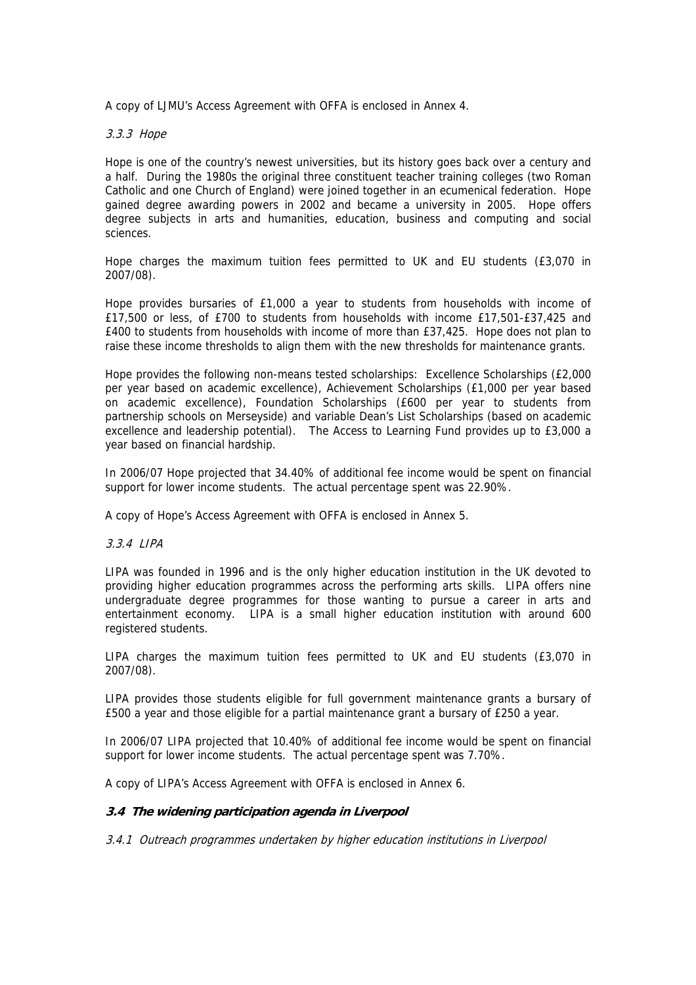A copy of LJMU's Access Agreement with OFFA is enclosed in Annex 4.

3.3.3 Hope

Hope is one of the country's newest universities, but its history goes back over a century and a half. During the 1980s the original three constituent teacher training colleges (two Roman Catholic and one Church of England) were joined together in an ecumenical federation. Hope gained degree awarding powers in 2002 and became a university in 2005. Hope offers degree subjects in arts and humanities, education, business and computing and social sciences.

Hope charges the maximum tuition fees permitted to UK and EU students (£3,070 in 2007/08).

Hope provides bursaries of £1,000 a year to students from households with income of £17,500 or less, of £700 to students from households with income £17,501-£37,425 and £400 to students from households with income of more than £37,425. Hope does not plan to raise these income thresholds to align them with the new thresholds for maintenance grants.

Hope provides the following non-means tested scholarships: Excellence Scholarships (£2,000 per year based on academic excellence), Achievement Scholarships (£1,000 per year based on academic excellence), Foundation Scholarships (£600 per year to students from partnership schools on Merseyside) and variable Dean's List Scholarships (based on academic excellence and leadership potential). The Access to Learning Fund provides up to £3,000 a year based on financial hardship.

In 2006/07 Hope projected that 34.40% of additional fee income would be spent on financial support for lower income students. The actual percentage spent was 22.90%.

A copy of Hope's Access Agreement with OFFA is enclosed in Annex 5.

3.3.4 LIPA

LIPA was founded in 1996 and is the only higher education institution in the UK devoted to providing higher education programmes across the performing arts skills. LIPA offers nine undergraduate degree programmes for those wanting to pursue a career in arts and entertainment economy. LIPA is a small higher education institution with around 600 registered students.

LIPA charges the maximum tuition fees permitted to UK and EU students (£3,070 in 2007/08).

LIPA provides those students eligible for full government maintenance grants a bursary of £500 a year and those eligible for a partial maintenance grant a bursary of £250 a year.

In 2006/07 LIPA projected that 10.40% of additional fee income would be spent on financial support for lower income students. The actual percentage spent was 7.70%.

A copy of LIPA's Access Agreement with OFFA is enclosed in Annex 6.

## **3.4 The widening participation agenda in Liverpool**

3.4.1 Outreach programmes undertaken by higher education institutions in Liverpool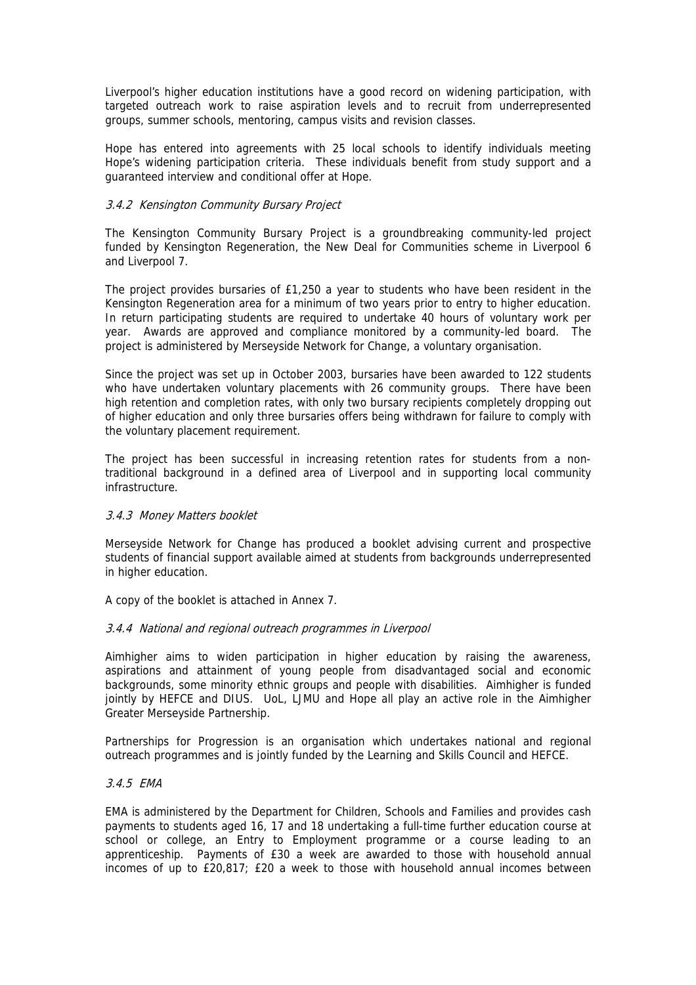Liverpool's higher education institutions have a good record on widening participation, with targeted outreach work to raise aspiration levels and to recruit from underrepresented groups, summer schools, mentoring, campus visits and revision classes.

Hope has entered into agreements with 25 local schools to identify individuals meeting Hope's widening participation criteria. These individuals benefit from study support and a guaranteed interview and conditional offer at Hope.

## 3.4.2 Kensington Community Bursary Project

The Kensington Community Bursary Project is a groundbreaking community-led project funded by Kensington Regeneration, the New Deal for Communities scheme in Liverpool 6 and Liverpool 7.

The project provides bursaries of £1,250 a year to students who have been resident in the Kensington Regeneration area for a minimum of two years prior to entry to higher education. In return participating students are required to undertake 40 hours of voluntary work per year. Awards are approved and compliance monitored by a community-led board. The project is administered by Merseyside Network for Change, a voluntary organisation.

Since the project was set up in October 2003, bursaries have been awarded to 122 students who have undertaken voluntary placements with 26 community groups. There have been high retention and completion rates, with only two bursary recipients completely dropping out of higher education and only three bursaries offers being withdrawn for failure to comply with the voluntary placement requirement.

The project has been successful in increasing retention rates for students from a nontraditional background in a defined area of Liverpool and in supporting local community infrastructure.

## 3.4.3 Money Matters booklet

Merseyside Network for Change has produced a booklet advising current and prospective students of financial support available aimed at students from backgrounds underrepresented in higher education.

A copy of the booklet is attached in Annex 7.

## 3.4.4 National and regional outreach programmes in Liverpool

Aimhigher aims to widen participation in higher education by raising the awareness, aspirations and attainment of young people from disadvantaged social and economic backgrounds, some minority ethnic groups and people with disabilities. Aimhigher is funded jointly by HEFCE and DIUS. UoL, LJMU and Hope all play an active role in the Aimhigher Greater Merseyside Partnership.

Partnerships for Progression is an organisation which undertakes national and regional outreach programmes and is jointly funded by the Learning and Skills Council and HEFCE.

#### 3.4.5 EMA

EMA is administered by the Department for Children, Schools and Families and provides cash payments to students aged 16, 17 and 18 undertaking a full-time further education course at school or college, an Entry to Employment programme or a course leading to an apprenticeship. Payments of £30 a week are awarded to those with household annual incomes of up to £20,817; £20 a week to those with household annual incomes between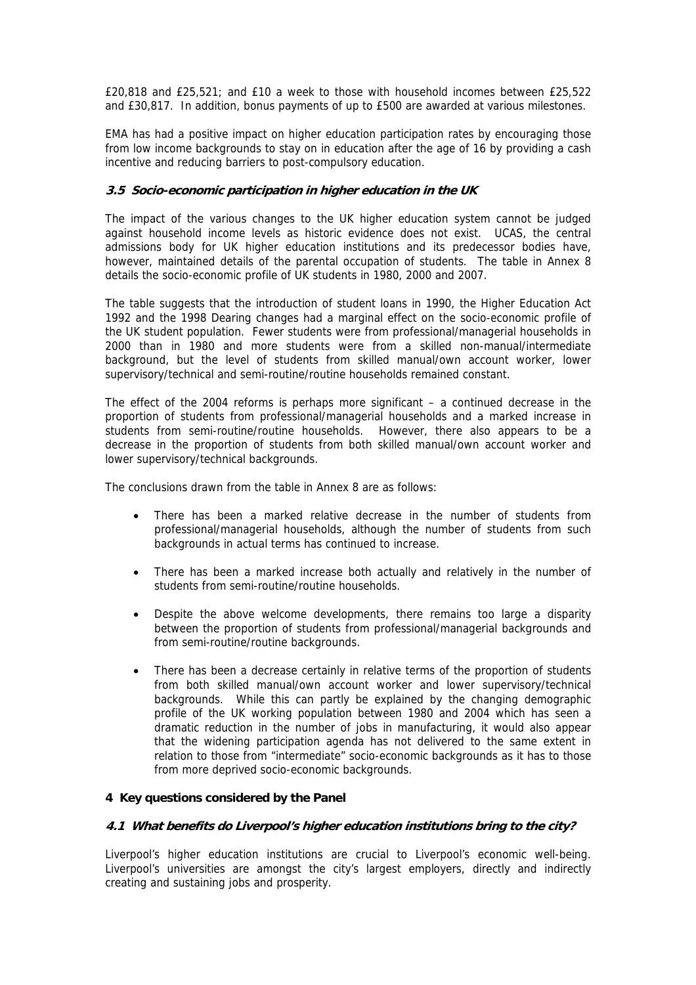£20,818 and £25,521; and £10 a week to those with household incomes between £25,522 and £30,817. In addition, bonus payments of up to £500 are awarded at various milestones.

EMA has had a positive impact on higher education participation rates by encouraging those from low income backgrounds to stay on in education after the age of 16 by providing a cash incentive and reducing barriers to post-compulsory education.

## **3.5 Socio-economic participation in higher education in the UK**

The impact of the various changes to the UK higher education system cannot be judged against household income levels as historic evidence does not exist. UCAS, the central admissions body for UK higher education institutions and its predecessor bodies have, however, maintained details of the parental occupation of students. The table in Annex 8 details the socio-economic profile of UK students in 1980, 2000 and 2007.

The table suggests that the introduction of student loans in 1990, the Higher Education Act 1992 and the 1998 Dearing changes had a marginal effect on the socio-economic profile of the UK student population. Fewer students were from professional/managerial households in 2000 than in 1980 and more students were from a skilled non-manual/intermediate background, but the level of students from skilled manual/own account worker, lower supervisory/technical and semi-routine/routine households remained constant.

The effect of the 2004 reforms is perhaps more significant – a continued decrease in the proportion of students from professional/managerial households and a marked increase in students from semi-routine/routine households. However, there also appears to be a decrease in the proportion of students from both skilled manual/own account worker and lower supervisory/technical backgrounds.

The conclusions drawn from the table in Annex 8 are as follows:

- There has been a marked relative decrease in the number of students from professional/managerial households, although the number of students from such backgrounds in actual terms has continued to increase.
- There has been a marked increase both actually and relatively in the number of students from semi-routine/routine households.
- Despite the above welcome developments, there remains too large a disparity between the proportion of students from professional/managerial backgrounds and from semi-routine/routine backgrounds.
- There has been a decrease certainly in relative terms of the proportion of students from both skilled manual/own account worker and lower supervisory/technical backgrounds. While this can partly be explained by the changing demographic profile of the UK working population between 1980 and 2004 which has seen a dramatic reduction in the number of jobs in manufacturing, it would also appear that the widening participation agenda has not delivered to the same extent in relation to those from "intermediate" socio-economic backgrounds as it has to those from more deprived socio-economic backgrounds.

## **4 Key questions considered by the Panel**

## **4.1 What benefits do Liverpool's higher education institutions bring to the city?**

Liverpool's higher education institutions are crucial to Liverpool's economic well-being. Liverpool's universities are amongst the city's largest employers, directly and indirectly creating and sustaining jobs and prosperity.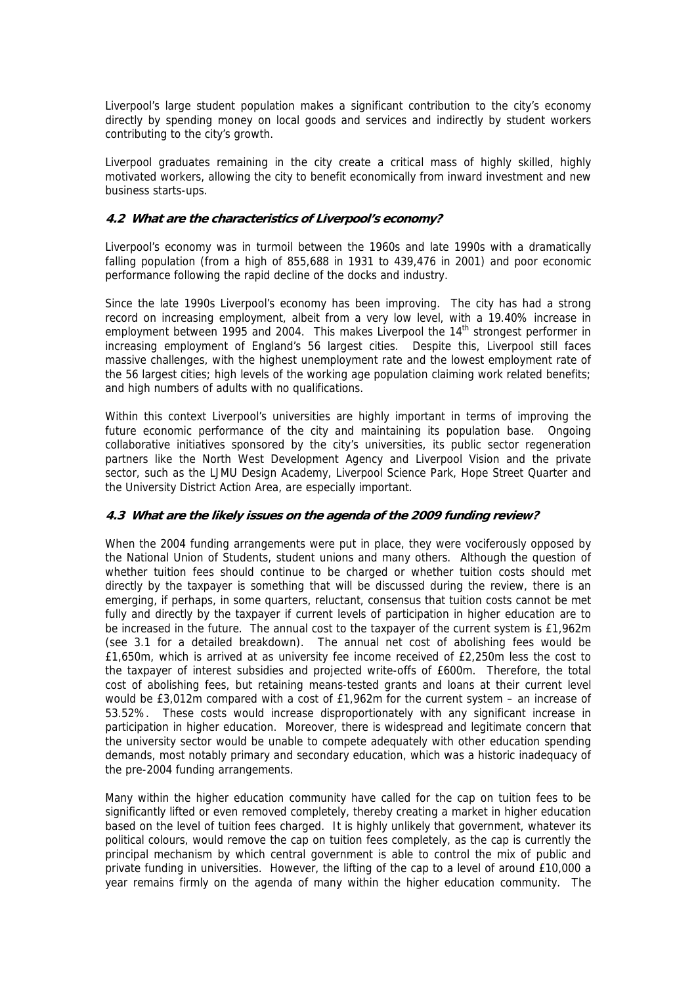Liverpool's large student population makes a significant contribution to the city's economy directly by spending money on local goods and services and indirectly by student workers contributing to the city's growth.

Liverpool graduates remaining in the city create a critical mass of highly skilled, highly motivated workers, allowing the city to benefit economically from inward investment and new business starts-ups.

## **4.2 What are the characteristics of Liverpool's economy?**

Liverpool's economy was in turmoil between the 1960s and late 1990s with a dramatically falling population (from a high of 855,688 in 1931 to 439,476 in 2001) and poor economic performance following the rapid decline of the docks and industry.

Since the late 1990s Liverpool's economy has been improving. The city has had a strong record on increasing employment, albeit from a very low level, with a 19.40% increase in employment between 1995 and 2004. This makes Liverpool the 14<sup>th</sup> strongest performer in increasing employment of England's 56 largest cities. Despite this, Liverpool still faces massive challenges, with the highest unemployment rate and the lowest employment rate of the 56 largest cities; high levels of the working age population claiming work related benefits; and high numbers of adults with no qualifications.

Within this context Liverpool's universities are highly important in terms of improving the future economic performance of the city and maintaining its population base. Ongoing collaborative initiatives sponsored by the city's universities, its public sector regeneration partners like the North West Development Agency and Liverpool Vision and the private sector, such as the LJMU Design Academy, Liverpool Science Park, Hope Street Quarter and the University District Action Area, are especially important.

## **4.3 What are the likely issues on the agenda of the 2009 funding review?**

When the 2004 funding arrangements were put in place, they were vociferously opposed by the National Union of Students, student unions and many others. Although the question of whether tuition fees should continue to be charged or whether tuition costs should met directly by the taxpayer is something that will be discussed during the review, there is an emerging, if perhaps, in some quarters, reluctant, consensus that tuition costs cannot be met fully and directly by the taxpayer if current levels of participation in higher education are to be increased in the future. The annual cost to the taxpayer of the current system is £1,962m (see 3.1 for a detailed breakdown). The annual net cost of abolishing fees would be £1,650m, which is arrived at as university fee income received of £2,250m less the cost to the taxpayer of interest subsidies and projected write-offs of £600m. Therefore, the total cost of abolishing fees, but retaining means-tested grants and loans at their current level would be £3,012m compared with a cost of £1,962m for the current system – an increase of 53.52%. These costs would increase disproportionately with any significant increase in participation in higher education. Moreover, there is widespread and legitimate concern that the university sector would be unable to compete adequately with other education spending demands, most notably primary and secondary education, which was a historic inadequacy of the pre-2004 funding arrangements.

Many within the higher education community have called for the cap on tuition fees to be significantly lifted or even removed completely, thereby creating a market in higher education based on the level of tuition fees charged. It is highly unlikely that government, whatever its political colours, would remove the cap on tuition fees completely, as the cap is currently the principal mechanism by which central government is able to control the mix of public and private funding in universities. However, the lifting of the cap to a level of around £10,000 a year remains firmly on the agenda of many within the higher education community. The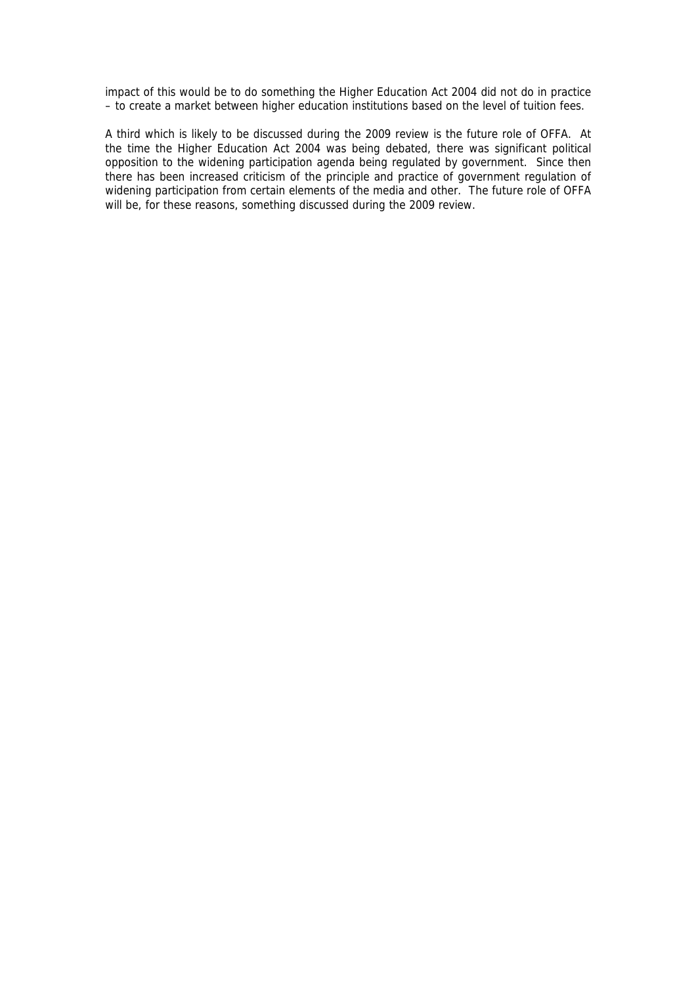impact of this would be to do something the Higher Education Act 2004 did not do in practice – to create a market between higher education institutions based on the level of tuition fees.

A third which is likely to be discussed during the 2009 review is the future role of OFFA. At the time the Higher Education Act 2004 was being debated, there was significant political opposition to the widening participation agenda being regulated by government. Since then there has been increased criticism of the principle and practice of government regulation of widening participation from certain elements of the media and other. The future role of OFFA will be, for these reasons, something discussed during the 2009 review.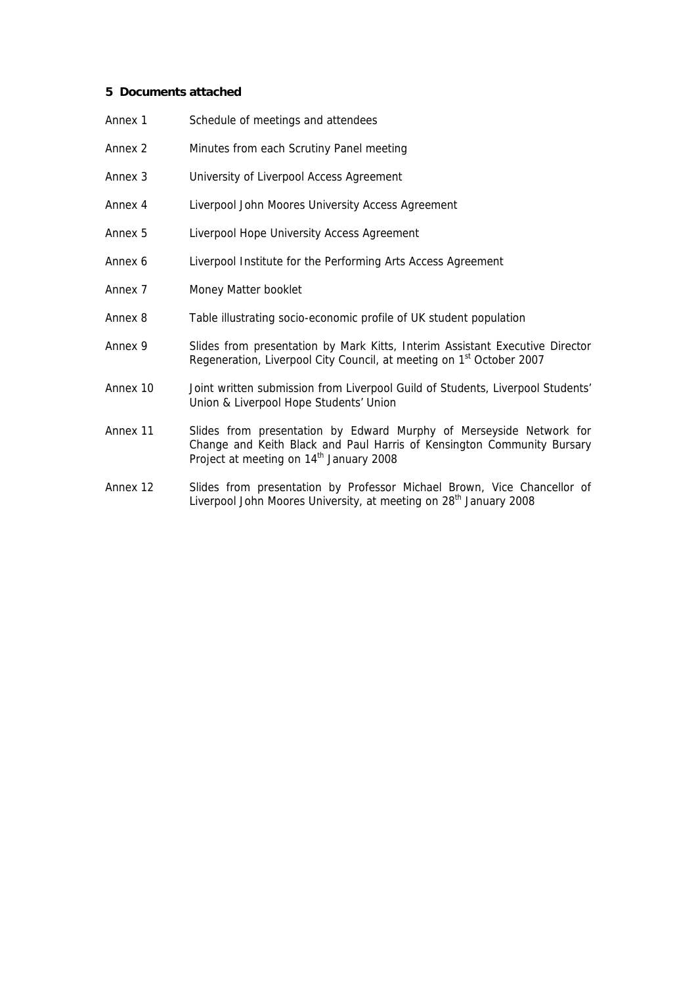# **5 Documents attached**

| Annex 1  | Schedule of meetings and attendees                                                                                                                                                                   |
|----------|------------------------------------------------------------------------------------------------------------------------------------------------------------------------------------------------------|
| Annex 2  | Minutes from each Scrutiny Panel meeting                                                                                                                                                             |
| Annex 3  | University of Liverpool Access Agreement                                                                                                                                                             |
| Annex 4  | Liverpool John Moores University Access Agreement                                                                                                                                                    |
| Annex 5  | Liverpool Hope University Access Agreement                                                                                                                                                           |
| Annex 6  | Liverpool Institute for the Performing Arts Access Agreement                                                                                                                                         |
| Annex 7  | Money Matter booklet                                                                                                                                                                                 |
| Annex 8  | Table illustrating socio-economic profile of UK student population                                                                                                                                   |
| Annex 9  | Slides from presentation by Mark Kitts, Interim Assistant Executive Director<br>Regeneration, Liverpool City Council, at meeting on 1 <sup>st</sup> October 2007                                     |
| Annex 10 | Joint written submission from Liverpool Guild of Students, Liverpool Students'<br>Union & Liverpool Hope Students' Union                                                                             |
| Annex 11 | Slides from presentation by Edward Murphy of Merseyside Network for<br>Change and Keith Black and Paul Harris of Kensington Community Bursary<br>Project at meeting on 14 <sup>th</sup> January 2008 |
| Annex 12 | Slides from presentation by Professor Michael Brown, Vice Chancellor of<br>$\sim$ - $\sim$ 10 $\,$ $\,$                                                                                              |

Liverpool John Moores University, at meeting on 28<sup>th</sup> January 2008